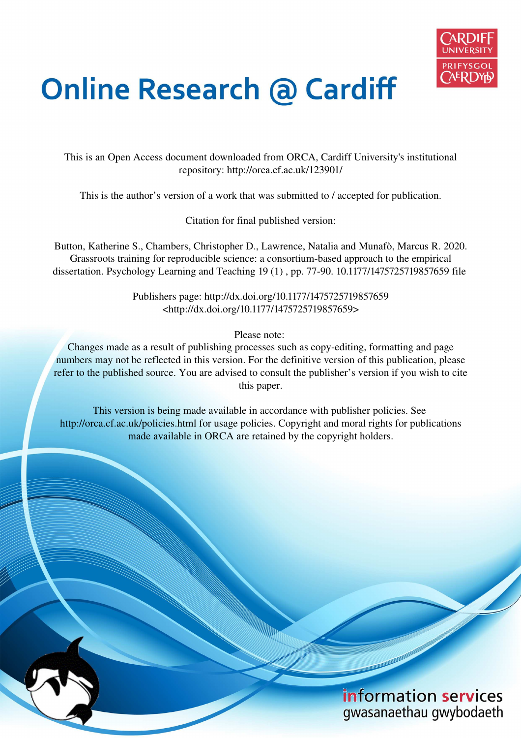

# **Online Research @ Cardiff**

This is an Open Access document downloaded from ORCA, Cardiff University's institutional repository: http://orca.cf.ac.uk/123901/

This is the author's version of a work that was submitted to / accepted for publication.

Citation for final published version:

Button, Katherine S., Chambers, Christopher D., Lawrence, Natalia and Munafò, Marcus R. 2020. Grassroots training for reproducible science: a consortium-based approach to the empirical dissertation. Psychology Learning and Teaching 19 (1) , pp. 77-90. 10.1177/1475725719857659 file

> Publishers page: http://dx.doi.org/10.1177/1475725719857659 <http://dx.doi.org/10.1177/1475725719857659>

> > Please note:

Changes made as a result of publishing processes such as copy-editing, formatting and page numbers may not be reflected in this version. For the definitive version of this publication, please refer to the published source. You are advised to consult the publisher's version if you wish to cite this paper.

This version is being made available in accordance with publisher policies. See http://orca.cf.ac.uk/policies.html for usage policies. Copyright and moral rights for publications made available in ORCA are retained by the copyright holders.

# information services gwasanaethau gwybodaeth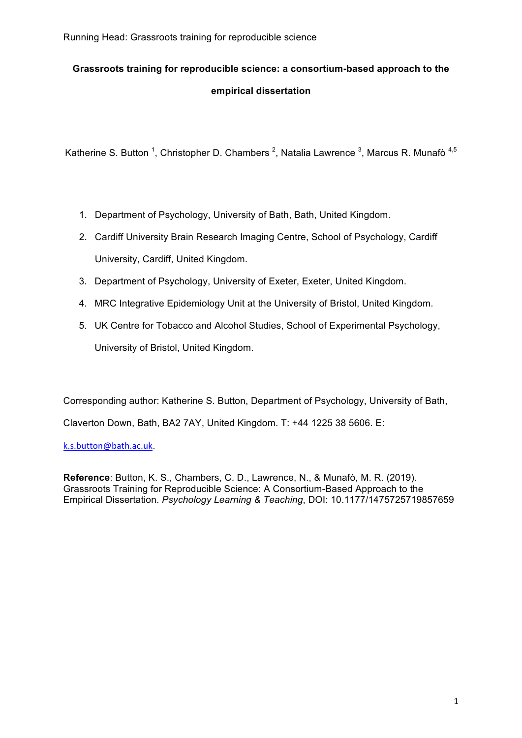# **Grassroots training for reproducible science: a consortium-based approach to the empirical dissertation**

Katherine S. Button <sup>1</sup>, Christopher D. Chambers <sup>2</sup>, Natalia Lawrence <sup>3</sup>, Marcus R. Munafò <sup>4,5</sup>

- 1. Department of Psychology, University of Bath, Bath, United Kingdom.
- 2. Cardiff University Brain Research Imaging Centre, School of Psychology, Cardiff University, Cardiff, United Kingdom.
- 3. Department of Psychology, University of Exeter, Exeter, United Kingdom.
- 4. MRC Integrative Epidemiology Unit at the University of Bristol, United Kingdom.
- 5. UK Centre for Tobacco and Alcohol Studies, School of Experimental Psychology, University of Bristol, United Kingdom.

Corresponding author: Katherine S. Button, Department of Psychology, University of Bath,

Claverton Down, Bath, BA2 7AY, United Kingdom. T: +44 1225 38 5606. E:

k.s.button@bath.ac.uk.

**Reference**: Button, K. S., Chambers, C. D., Lawrence, N., & Munafò, M. R. (2019). Grassroots Training for Reproducible Science: A Consortium-Based Approach to the Empirical Dissertation. *Psychology Learning & Teaching*, DOI: 10.1177/1475725719857659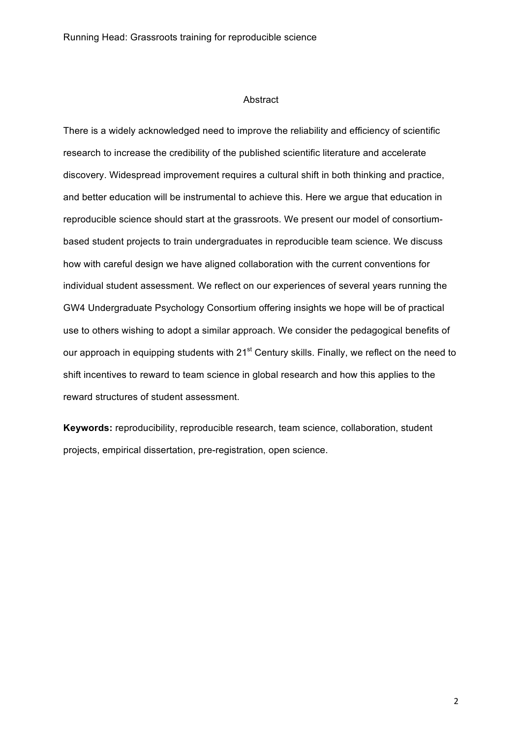#### Abstract

There is a widely acknowledged need to improve the reliability and efficiency of scientific research to increase the credibility of the published scientific literature and accelerate discovery. Widespread improvement requires a cultural shift in both thinking and practice, and better education will be instrumental to achieve this. Here we argue that education in reproducible science should start at the grassroots. We present our model of consortiumbased student projects to train undergraduates in reproducible team science. We discuss how with careful design we have aligned collaboration with the current conventions for individual student assessment. We reflect on our experiences of several years running the GW4 Undergraduate Psychology Consortium offering insights we hope will be of practical use to others wishing to adopt a similar approach. We consider the pedagogical benefits of our approach in equipping students with 21<sup>st</sup> Century skills. Finally, we reflect on the need to shift incentives to reward to team science in global research and how this applies to the reward structures of student assessment.

**Keywords:** reproducibility, reproducible research, team science, collaboration, student projects, empirical dissertation, pre-registration, open science.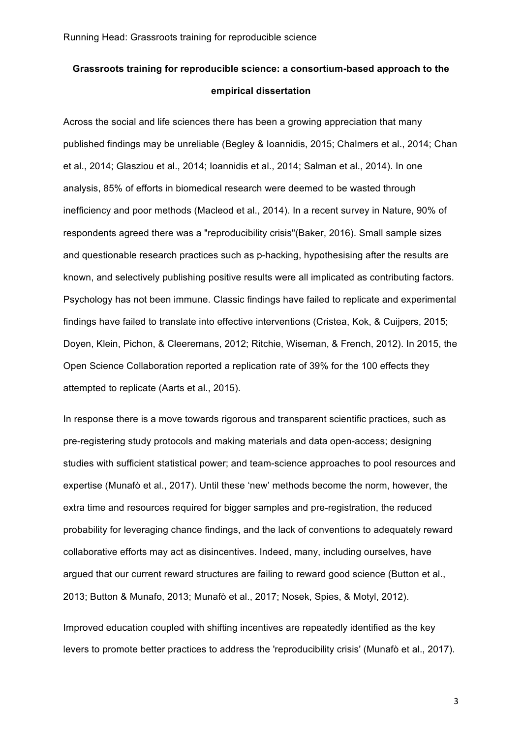# **Grassroots training for reproducible science: a consortium-based approach to the empirical dissertation**

Across the social and life sciences there has been a growing appreciation that many published findings may be unreliable (Begley & Ioannidis, 2015; Chalmers et al., 2014; Chan et al., 2014; Glasziou et al., 2014; Ioannidis et al., 2014; Salman et al., 2014). In one analysis, 85% of efforts in biomedical research were deemed to be wasted through inefficiency and poor methods (Macleod et al., 2014). In a recent survey in Nature, 90% of respondents agreed there was a "reproducibility crisis"(Baker, 2016). Small sample sizes and questionable research practices such as p-hacking, hypothesising after the results are known, and selectively publishing positive results were all implicated as contributing factors. Psychology has not been immune. Classic findings have failed to replicate and experimental findings have failed to translate into effective interventions (Cristea, Kok, & Cuijpers, 2015; Doyen, Klein, Pichon, & Cleeremans, 2012; Ritchie, Wiseman, & French, 2012). In 2015, the Open Science Collaboration reported a replication rate of 39% for the 100 effects they attempted to replicate (Aarts et al., 2015).

In response there is a move towards rigorous and transparent scientific practices, such as pre-registering study protocols and making materials and data open-access; designing studies with sufficient statistical power; and team-science approaches to pool resources and expertise (Munafò et al., 2017). Until these 'new' methods become the norm, however, the extra time and resources required for bigger samples and pre-registration, the reduced probability for leveraging chance findings, and the lack of conventions to adequately reward collaborative efforts may act as disincentives. Indeed, many, including ourselves, have argued that our current reward structures are failing to reward good science (Button et al., 2013; Button & Munafo, 2013; Munafò et al., 2017; Nosek, Spies, & Motyl, 2012).

Improved education coupled with shifting incentives are repeatedly identified as the key levers to promote better practices to address the 'reproducibility crisis' (Munafò et al., 2017).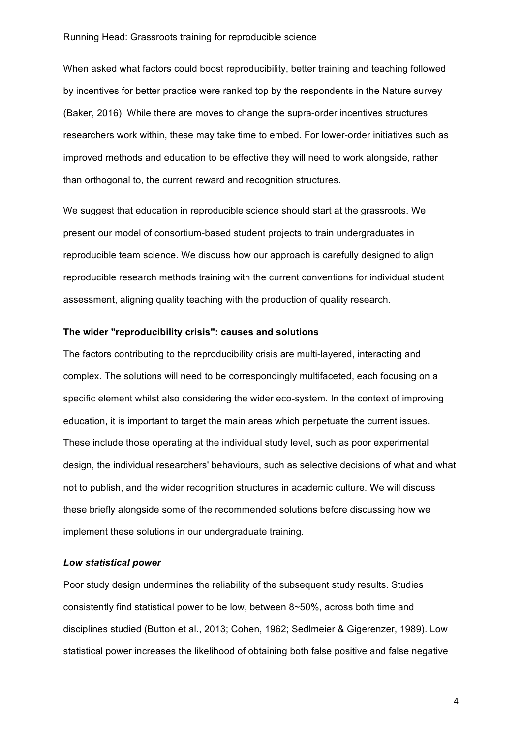When asked what factors could boost reproducibility, better training and teaching followed by incentives for better practice were ranked top by the respondents in the Nature survey (Baker, 2016). While there are moves to change the supra-order incentives structures researchers work within, these may take time to embed. For lower-order initiatives such as improved methods and education to be effective they will need to work alongside, rather than orthogonal to, the current reward and recognition structures.

We suggest that education in reproducible science should start at the grassroots. We present our model of consortium-based student projects to train undergraduates in reproducible team science. We discuss how our approach is carefully designed to align reproducible research methods training with the current conventions for individual student assessment, aligning quality teaching with the production of quality research.

#### **The wider "reproducibility crisis": causes and solutions**

The factors contributing to the reproducibility crisis are multi-layered, interacting and complex. The solutions will need to be correspondingly multifaceted, each focusing on a specific element whilst also considering the wider eco-system. In the context of improving education, it is important to target the main areas which perpetuate the current issues. These include those operating at the individual study level, such as poor experimental design, the individual researchers' behaviours, such as selective decisions of what and what not to publish, and the wider recognition structures in academic culture. We will discuss these briefly alongside some of the recommended solutions before discussing how we implement these solutions in our undergraduate training.

#### *Low statistical power*

Poor study design undermines the reliability of the subsequent study results. Studies consistently find statistical power to be low, between 8~50%, across both time and disciplines studied (Button et al., 2013; Cohen, 1962; Sedlmeier & Gigerenzer, 1989). Low statistical power increases the likelihood of obtaining both false positive and false negative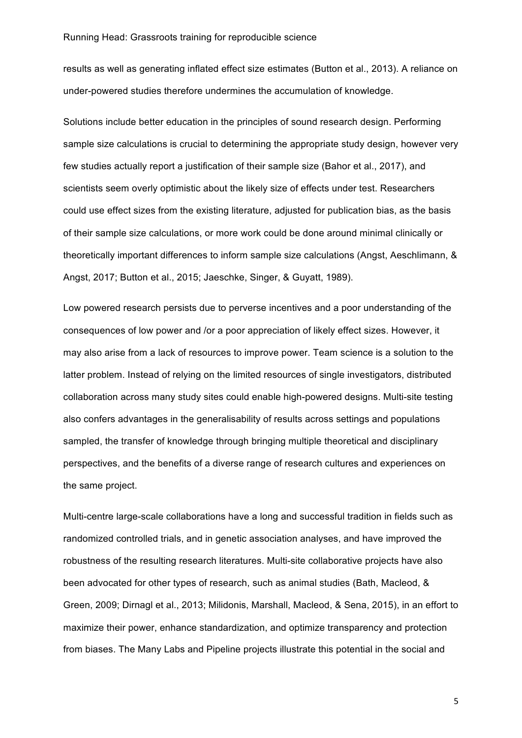results as well as generating inflated effect size estimates (Button et al., 2013). A reliance on under-powered studies therefore undermines the accumulation of knowledge.

Solutions include better education in the principles of sound research design. Performing sample size calculations is crucial to determining the appropriate study design, however very few studies actually report a justification of their sample size (Bahor et al., 2017), and scientists seem overly optimistic about the likely size of effects under test. Researchers could use effect sizes from the existing literature, adjusted for publication bias, as the basis of their sample size calculations, or more work could be done around minimal clinically or theoretically important differences to inform sample size calculations (Angst, Aeschlimann, & Angst, 2017; Button et al., 2015; Jaeschke, Singer, & Guyatt, 1989).

Low powered research persists due to perverse incentives and a poor understanding of the consequences of low power and /or a poor appreciation of likely effect sizes. However, it may also arise from a lack of resources to improve power. Team science is a solution to the latter problem. Instead of relying on the limited resources of single investigators, distributed collaboration across many study sites could enable high-powered designs. Multi-site testing also confers advantages in the generalisability of results across settings and populations sampled, the transfer of knowledge through bringing multiple theoretical and disciplinary perspectives, and the benefits of a diverse range of research cultures and experiences on the same project.

Multi-centre large-scale collaborations have a long and successful tradition in fields such as randomized controlled trials, and in genetic association analyses, and have improved the robustness of the resulting research literatures. Multi-site collaborative projects have also been advocated for other types of research, such as animal studies (Bath, Macleod, & Green, 2009; Dirnagl et al., 2013; Milidonis, Marshall, Macleod, & Sena, 2015), in an effort to maximize their power, enhance standardization, and optimize transparency and protection from biases. The Many Labs and Pipeline projects illustrate this potential in the social and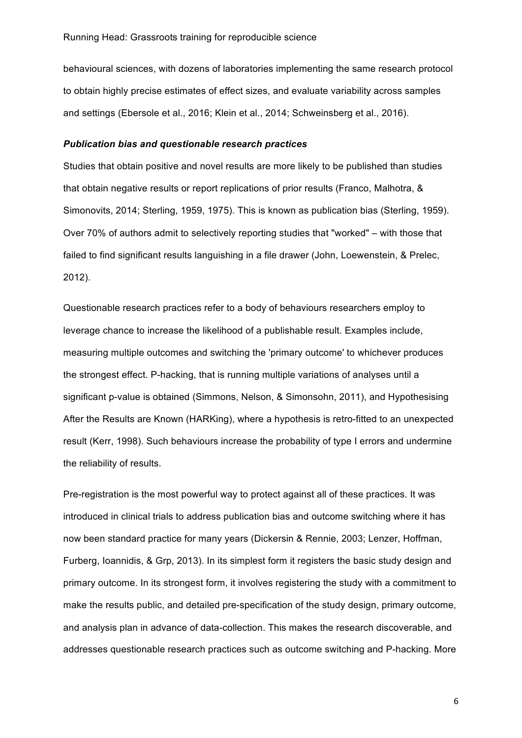behavioural sciences, with dozens of laboratories implementing the same research protocol to obtain highly precise estimates of effect sizes, and evaluate variability across samples and settings (Ebersole et al., 2016; Klein et al., 2014; Schweinsberg et al., 2016).

#### *Publication bias and questionable research practices*

Studies that obtain positive and novel results are more likely to be published than studies that obtain negative results or report replications of prior results (Franco, Malhotra, & Simonovits, 2014; Sterling, 1959, 1975). This is known as publication bias (Sterling, 1959). Over 70% of authors admit to selectively reporting studies that "worked" – with those that failed to find significant results languishing in a file drawer (John, Loewenstein, & Prelec, 2012).

Questionable research practices refer to a body of behaviours researchers employ to leverage chance to increase the likelihood of a publishable result. Examples include, measuring multiple outcomes and switching the 'primary outcome' to whichever produces the strongest effect. P-hacking, that is running multiple variations of analyses until a significant p-value is obtained (Simmons, Nelson, & Simonsohn, 2011), and Hypothesising After the Results are Known (HARKing), where a hypothesis is retro-fitted to an unexpected result (Kerr, 1998). Such behaviours increase the probability of type I errors and undermine the reliability of results.

Pre-registration is the most powerful way to protect against all of these practices. It was introduced in clinical trials to address publication bias and outcome switching where it has now been standard practice for many years (Dickersin & Rennie, 2003; Lenzer, Hoffman, Furberg, Ioannidis, & Grp, 2013). In its simplest form it registers the basic study design and primary outcome. In its strongest form, it involves registering the study with a commitment to make the results public, and detailed pre-specification of the study design, primary outcome, and analysis plan in advance of data-collection. This makes the research discoverable, and addresses questionable research practices such as outcome switching and P-hacking. More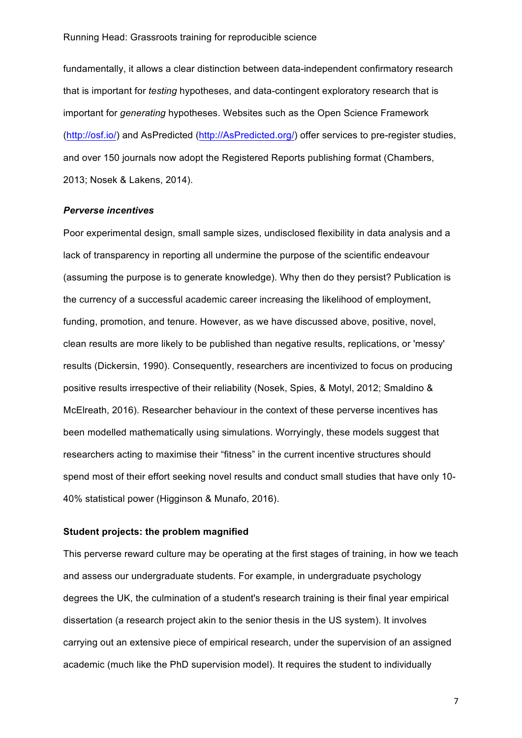fundamentally, it allows a clear distinction between data-independent confirmatory research that is important for *testing* hypotheses, and data-contingent exploratory research that is important for *generating* hypotheses. Websites such as the Open Science Framework (http://osf.io/) and AsPredicted (http://AsPredicted.org/) offer services to pre-register studies, and over 150 journals now adopt the Registered Reports publishing format (Chambers, 2013; Nosek & Lakens, 2014).

#### *Perverse incentives*

Poor experimental design, small sample sizes, undisclosed flexibility in data analysis and a lack of transparency in reporting all undermine the purpose of the scientific endeavour (assuming the purpose is to generate knowledge). Why then do they persist? Publication is the currency of a successful academic career increasing the likelihood of employment, funding, promotion, and tenure. However, as we have discussed above, positive, novel, clean results are more likely to be published than negative results, replications, or 'messy' results (Dickersin, 1990). Consequently, researchers are incentivized to focus on producing positive results irrespective of their reliability (Nosek, Spies, & Motyl, 2012; Smaldino & McElreath, 2016). Researcher behaviour in the context of these perverse incentives has been modelled mathematically using simulations. Worryingly, these models suggest that researchers acting to maximise their "fitness" in the current incentive structures should spend most of their effort seeking novel results and conduct small studies that have only 10- 40% statistical power (Higginson & Munafo, 2016).

#### **Student projects: the problem magnified**

This perverse reward culture may be operating at the first stages of training, in how we teach and assess our undergraduate students. For example, in undergraduate psychology degrees the UK, the culmination of a student's research training is their final year empirical dissertation (a research project akin to the senior thesis in the US system). It involves carrying out an extensive piece of empirical research, under the supervision of an assigned academic (much like the PhD supervision model). It requires the student to individually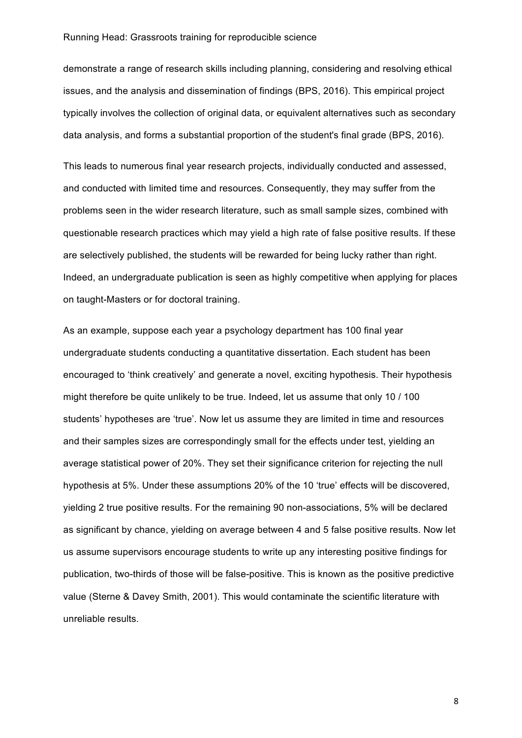demonstrate a range of research skills including planning, considering and resolving ethical issues, and the analysis and dissemination of findings (BPS, 2016). This empirical project typically involves the collection of original data, or equivalent alternatives such as secondary data analysis, and forms a substantial proportion of the student's final grade (BPS, 2016).

This leads to numerous final year research projects, individually conducted and assessed, and conducted with limited time and resources. Consequently, they may suffer from the problems seen in the wider research literature, such as small sample sizes, combined with questionable research practices which may yield a high rate of false positive results. If these are selectively published, the students will be rewarded for being lucky rather than right. Indeed, an undergraduate publication is seen as highly competitive when applying for places on taught-Masters or for doctoral training.

As an example, suppose each year a psychology department has 100 final year undergraduate students conducting a quantitative dissertation. Each student has been encouraged to 'think creatively' and generate a novel, exciting hypothesis. Their hypothesis might therefore be quite unlikely to be true. Indeed, let us assume that only 10 / 100 students' hypotheses are 'true'. Now let us assume they are limited in time and resources and their samples sizes are correspondingly small for the effects under test, yielding an average statistical power of 20%. They set their significance criterion for rejecting the null hypothesis at 5%. Under these assumptions 20% of the 10 'true' effects will be discovered, yielding 2 true positive results. For the remaining 90 non-associations, 5% will be declared as significant by chance, yielding on average between 4 and 5 false positive results. Now let us assume supervisors encourage students to write up any interesting positive findings for publication, two-thirds of those will be false-positive. This is known as the positive predictive value (Sterne & Davey Smith, 2001). This would contaminate the scientific literature with unreliable results.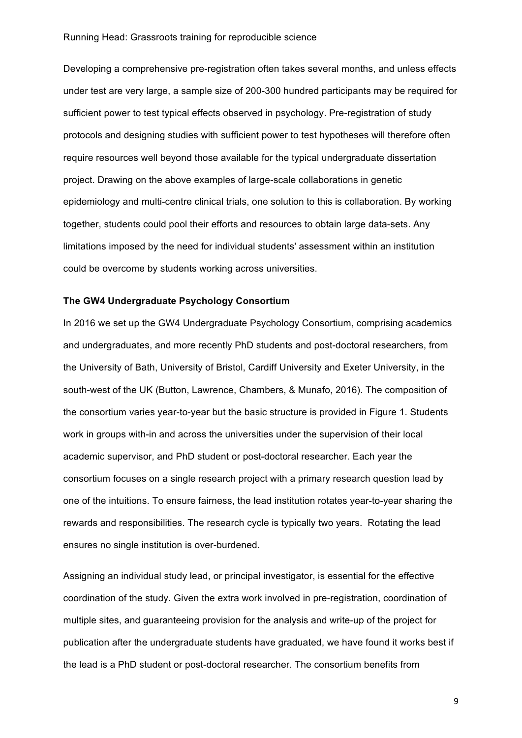Developing a comprehensive pre-registration often takes several months, and unless effects under test are very large, a sample size of 200-300 hundred participants may be required for sufficient power to test typical effects observed in psychology. Pre-registration of study protocols and designing studies with sufficient power to test hypotheses will therefore often require resources well beyond those available for the typical undergraduate dissertation project. Drawing on the above examples of large-scale collaborations in genetic epidemiology and multi-centre clinical trials, one solution to this is collaboration. By working together, students could pool their efforts and resources to obtain large data-sets. Any limitations imposed by the need for individual students' assessment within an institution could be overcome by students working across universities.

#### **The GW4 Undergraduate Psychology Consortium**

In 2016 we set up the GW4 Undergraduate Psychology Consortium, comprising academics and undergraduates, and more recently PhD students and post-doctoral researchers, from the University of Bath, University of Bristol, Cardiff University and Exeter University, in the south-west of the UK (Button, Lawrence, Chambers, & Munafo, 2016). The composition of the consortium varies year-to-year but the basic structure is provided in Figure 1. Students work in groups with-in and across the universities under the supervision of their local academic supervisor, and PhD student or post-doctoral researcher. Each year the consortium focuses on a single research project with a primary research question lead by one of the intuitions. To ensure fairness, the lead institution rotates year-to-year sharing the rewards and responsibilities. The research cycle is typically two years. Rotating the lead ensures no single institution is over-burdened.

Assigning an individual study lead, or principal investigator, is essential for the effective coordination of the study. Given the extra work involved in pre-registration, coordination of multiple sites, and guaranteeing provision for the analysis and write-up of the project for publication after the undergraduate students have graduated, we have found it works best if the lead is a PhD student or post-doctoral researcher. The consortium benefits from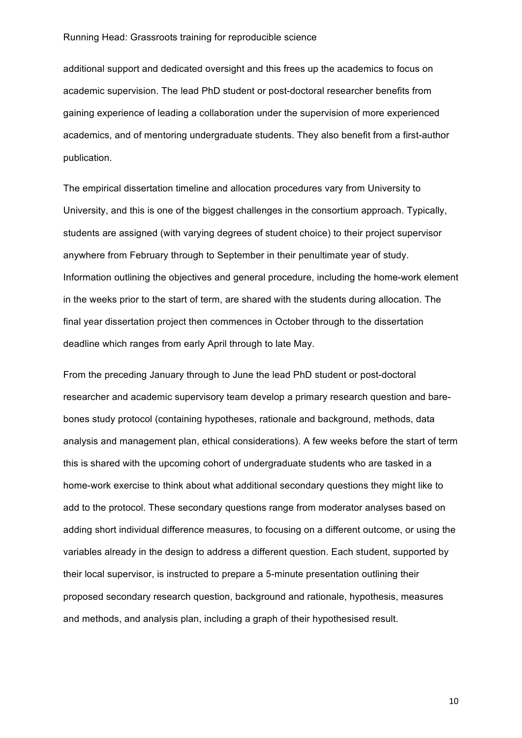additional support and dedicated oversight and this frees up the academics to focus on academic supervision. The lead PhD student or post-doctoral researcher benefits from gaining experience of leading a collaboration under the supervision of more experienced academics, and of mentoring undergraduate students. They also benefit from a first-author publication.

The empirical dissertation timeline and allocation procedures vary from University to University, and this is one of the biggest challenges in the consortium approach. Typically, students are assigned (with varying degrees of student choice) to their project supervisor anywhere from February through to September in their penultimate year of study. Information outlining the objectives and general procedure, including the home-work element in the weeks prior to the start of term, are shared with the students during allocation. The final year dissertation project then commences in October through to the dissertation deadline which ranges from early April through to late May.

From the preceding January through to June the lead PhD student or post-doctoral researcher and academic supervisory team develop a primary research question and barebones study protocol (containing hypotheses, rationale and background, methods, data analysis and management plan, ethical considerations). A few weeks before the start of term this is shared with the upcoming cohort of undergraduate students who are tasked in a home-work exercise to think about what additional secondary questions they might like to add to the protocol. These secondary questions range from moderator analyses based on adding short individual difference measures, to focusing on a different outcome, or using the variables already in the design to address a different question. Each student, supported by their local supervisor, is instructed to prepare a 5-minute presentation outlining their proposed secondary research question, background and rationale, hypothesis, measures and methods, and analysis plan, including a graph of their hypothesised result.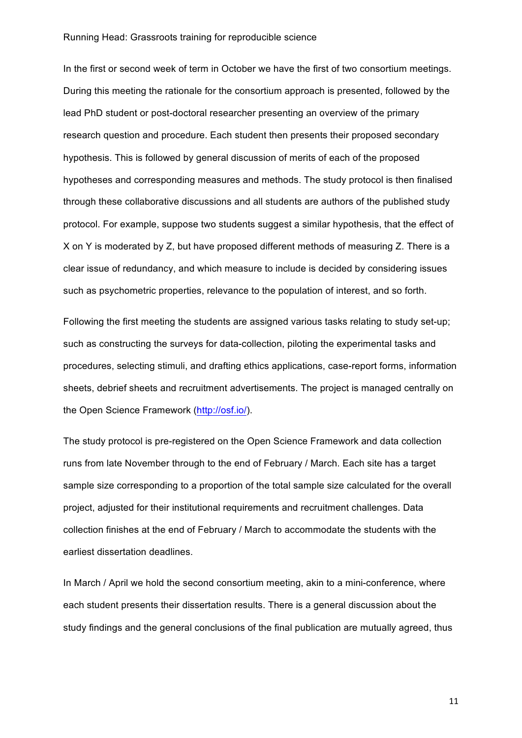In the first or second week of term in October we have the first of two consortium meetings. During this meeting the rationale for the consortium approach is presented, followed by the lead PhD student or post-doctoral researcher presenting an overview of the primary research question and procedure. Each student then presents their proposed secondary hypothesis. This is followed by general discussion of merits of each of the proposed hypotheses and corresponding measures and methods. The study protocol is then finalised through these collaborative discussions and all students are authors of the published study protocol. For example, suppose two students suggest a similar hypothesis, that the effect of X on Y is moderated by Z, but have proposed different methods of measuring Z. There is a clear issue of redundancy, and which measure to include is decided by considering issues such as psychometric properties, relevance to the population of interest, and so forth.

Following the first meeting the students are assigned various tasks relating to study set-up; such as constructing the surveys for data-collection, piloting the experimental tasks and procedures, selecting stimuli, and drafting ethics applications, case-report forms, information sheets, debrief sheets and recruitment advertisements. The project is managed centrally on the Open Science Framework (http://osf.io/).

The study protocol is pre-registered on the Open Science Framework and data collection runs from late November through to the end of February / March. Each site has a target sample size corresponding to a proportion of the total sample size calculated for the overall project, adjusted for their institutional requirements and recruitment challenges. Data collection finishes at the end of February / March to accommodate the students with the earliest dissertation deadlines.

In March / April we hold the second consortium meeting, akin to a mini-conference, where each student presents their dissertation results. There is a general discussion about the study findings and the general conclusions of the final publication are mutually agreed, thus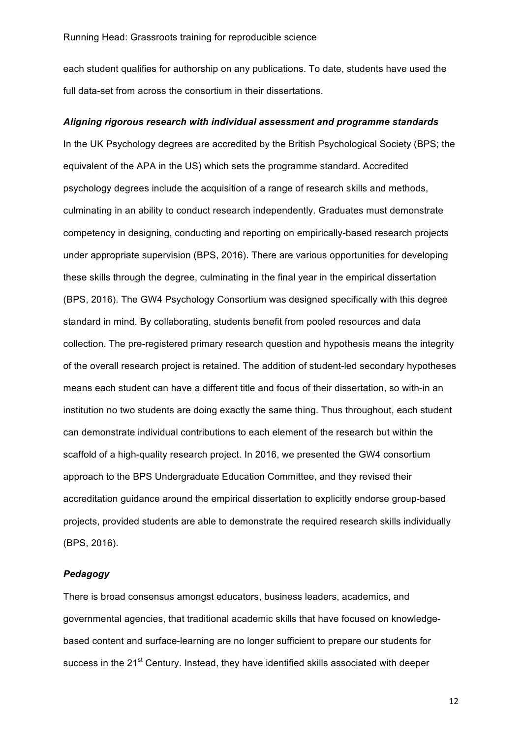each student qualifies for authorship on any publications. To date, students have used the full data-set from across the consortium in their dissertations.

#### *Aligning rigorous research with individual assessment and programme standards*

In the UK Psychology degrees are accredited by the British Psychological Society (BPS; the equivalent of the APA in the US) which sets the programme standard. Accredited psychology degrees include the acquisition of a range of research skills and methods, culminating in an ability to conduct research independently. Graduates must demonstrate competency in designing, conducting and reporting on empirically-based research projects under appropriate supervision (BPS, 2016). There are various opportunities for developing these skills through the degree, culminating in the final year in the empirical dissertation (BPS, 2016). The GW4 Psychology Consortium was designed specifically with this degree standard in mind. By collaborating, students benefit from pooled resources and data collection. The pre-registered primary research question and hypothesis means the integrity of the overall research project is retained. The addition of student-led secondary hypotheses means each student can have a different title and focus of their dissertation, so with-in an institution no two students are doing exactly the same thing. Thus throughout, each student can demonstrate individual contributions to each element of the research but within the scaffold of a high-quality research project. In 2016, we presented the GW4 consortium approach to the BPS Undergraduate Education Committee, and they revised their accreditation guidance around the empirical dissertation to explicitly endorse group-based projects, provided students are able to demonstrate the required research skills individually (BPS, 2016).

### *Pedagogy*

There is broad consensus amongst educators, business leaders, academics, and governmental agencies, that traditional academic skills that have focused on knowledgebased content and surface-learning are no longer sufficient to prepare our students for success in the 21<sup>st</sup> Century. Instead, they have identified skills associated with deeper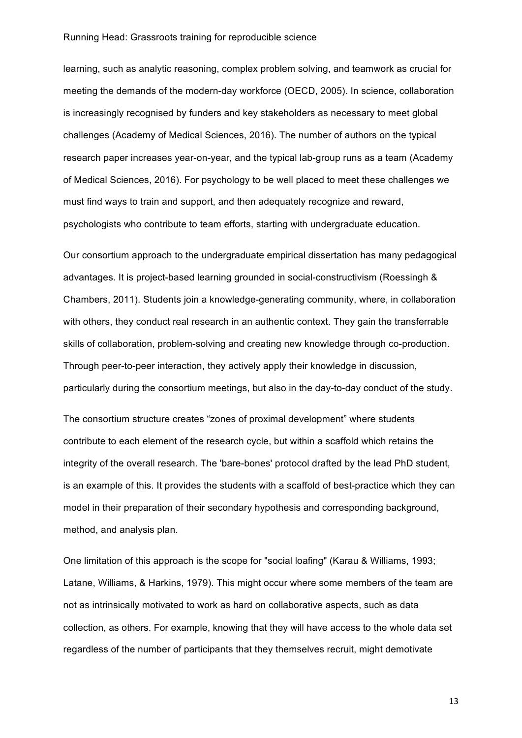learning, such as analytic reasoning, complex problem solving, and teamwork as crucial for meeting the demands of the modern-day workforce (OECD, 2005). In science, collaboration is increasingly recognised by funders and key stakeholders as necessary to meet global challenges (Academy of Medical Sciences, 2016). The number of authors on the typical research paper increases year-on-year, and the typical lab-group runs as a team (Academy of Medical Sciences, 2016). For psychology to be well placed to meet these challenges we must find ways to train and support, and then adequately recognize and reward, psychologists who contribute to team efforts, starting with undergraduate education.

Our consortium approach to the undergraduate empirical dissertation has many pedagogical advantages. It is project-based learning grounded in social-constructivism (Roessingh & Chambers, 2011). Students join a knowledge-generating community, where, in collaboration with others, they conduct real research in an authentic context. They gain the transferrable skills of collaboration, problem-solving and creating new knowledge through co-production. Through peer-to-peer interaction, they actively apply their knowledge in discussion, particularly during the consortium meetings, but also in the day-to-day conduct of the study.

The consortium structure creates "zones of proximal development" where students contribute to each element of the research cycle, but within a scaffold which retains the integrity of the overall research. The 'bare-bones' protocol drafted by the lead PhD student, is an example of this. It provides the students with a scaffold of best-practice which they can model in their preparation of their secondary hypothesis and corresponding background, method, and analysis plan.

One limitation of this approach is the scope for "social loafing" (Karau & Williams, 1993; Latane, Williams, & Harkins, 1979). This might occur where some members of the team are not as intrinsically motivated to work as hard on collaborative aspects, such as data collection, as others. For example, knowing that they will have access to the whole data set regardless of the number of participants that they themselves recruit, might demotivate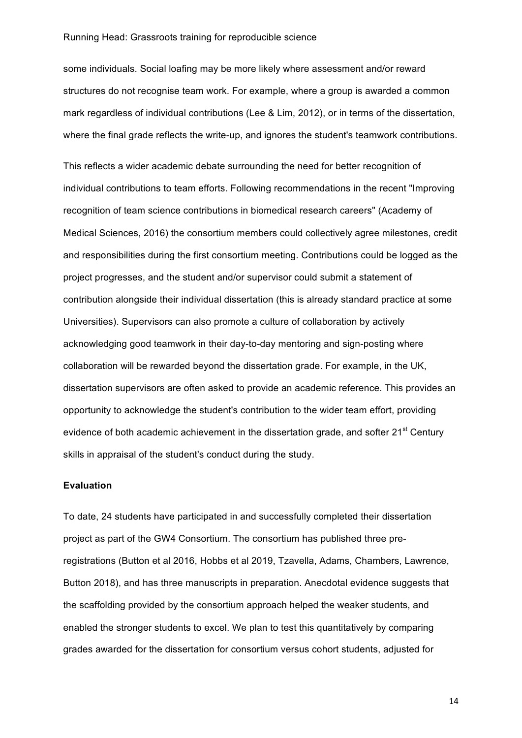some individuals. Social loafing may be more likely where assessment and/or reward structures do not recognise team work. For example, where a group is awarded a common mark regardless of individual contributions (Lee & Lim, 2012), or in terms of the dissertation, where the final grade reflects the write-up, and ignores the student's teamwork contributions.

This reflects a wider academic debate surrounding the need for better recognition of individual contributions to team efforts. Following recommendations in the recent "Improving recognition of team science contributions in biomedical research careers" (Academy of Medical Sciences, 2016) the consortium members could collectively agree milestones, credit and responsibilities during the first consortium meeting. Contributions could be logged as the project progresses, and the student and/or supervisor could submit a statement of contribution alongside their individual dissertation (this is already standard practice at some Universities). Supervisors can also promote a culture of collaboration by actively acknowledging good teamwork in their day-to-day mentoring and sign-posting where collaboration will be rewarded beyond the dissertation grade. For example, in the UK, dissertation supervisors are often asked to provide an academic reference. This provides an opportunity to acknowledge the student's contribution to the wider team effort, providing evidence of both academic achievement in the dissertation grade, and softer 21<sup>st</sup> Century skills in appraisal of the student's conduct during the study.

## **Evaluation**

To date, 24 students have participated in and successfully completed their dissertation project as part of the GW4 Consortium. The consortium has published three preregistrations (Button et al 2016, Hobbs et al 2019, Tzavella, Adams, Chambers, Lawrence, Button 2018), and has three manuscripts in preparation. Anecdotal evidence suggests that the scaffolding provided by the consortium approach helped the weaker students, and enabled the stronger students to excel. We plan to test this quantitatively by comparing grades awarded for the dissertation for consortium versus cohort students, adjusted for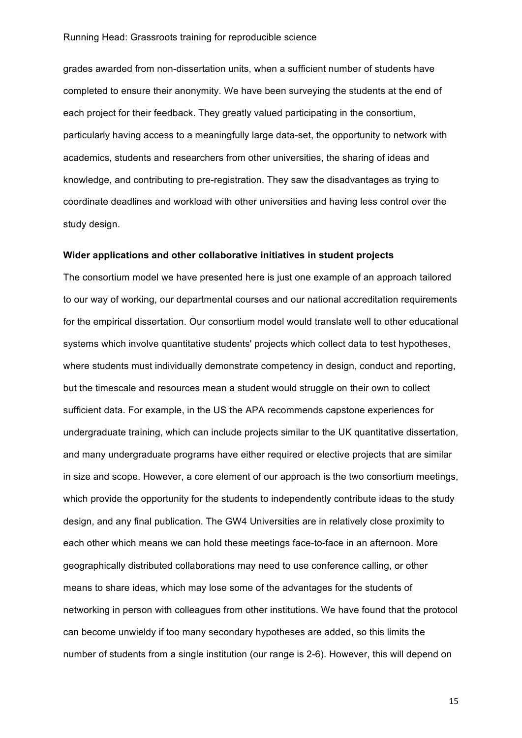grades awarded from non-dissertation units, when a sufficient number of students have completed to ensure their anonymity. We have been surveying the students at the end of each project for their feedback. They greatly valued participating in the consortium, particularly having access to a meaningfully large data-set, the opportunity to network with academics, students and researchers from other universities, the sharing of ideas and knowledge, and contributing to pre-registration. They saw the disadvantages as trying to coordinate deadlines and workload with other universities and having less control over the study design.

#### **Wider applications and other collaborative initiatives in student projects**

The consortium model we have presented here is just one example of an approach tailored to our way of working, our departmental courses and our national accreditation requirements for the empirical dissertation. Our consortium model would translate well to other educational systems which involve quantitative students' projects which collect data to test hypotheses, where students must individually demonstrate competency in design, conduct and reporting, but the timescale and resources mean a student would struggle on their own to collect sufficient data. For example, in the US the APA recommends capstone experiences for undergraduate training, which can include projects similar to the UK quantitative dissertation, and many undergraduate programs have either required or elective projects that are similar in size and scope. However, a core element of our approach is the two consortium meetings, which provide the opportunity for the students to independently contribute ideas to the study design, and any final publication. The GW4 Universities are in relatively close proximity to each other which means we can hold these meetings face-to-face in an afternoon. More geographically distributed collaborations may need to use conference calling, or other means to share ideas, which may lose some of the advantages for the students of networking in person with colleagues from other institutions. We have found that the protocol can become unwieldy if too many secondary hypotheses are added, so this limits the number of students from a single institution (our range is 2-6). However, this will depend on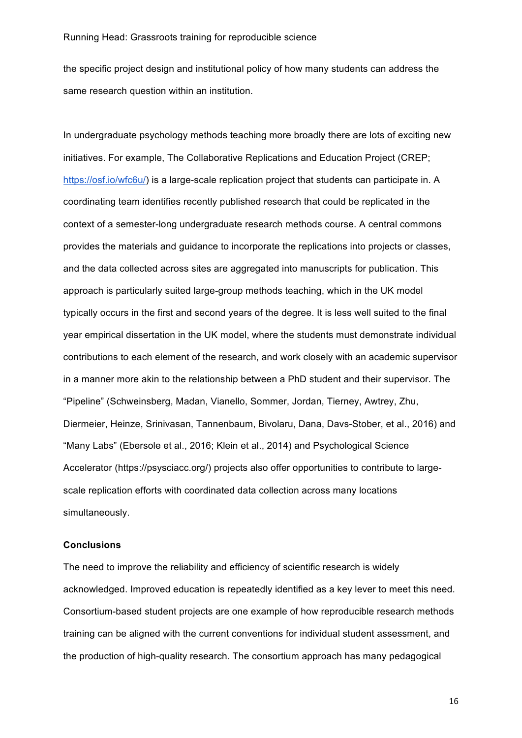the specific project design and institutional policy of how many students can address the same research question within an institution.

In undergraduate psychology methods teaching more broadly there are lots of exciting new initiatives. For example, The Collaborative Replications and Education Project (CREP; https://osf.io/wfc6u/) is a large-scale replication project that students can participate in. A coordinating team identifies recently published research that could be replicated in the context of a semester-long undergraduate research methods course. A central commons provides the materials and guidance to incorporate the replications into projects or classes, and the data collected across sites are aggregated into manuscripts for publication. This approach is particularly suited large-group methods teaching, which in the UK model typically occurs in the first and second years of the degree. It is less well suited to the final year empirical dissertation in the UK model, where the students must demonstrate individual contributions to each element of the research, and work closely with an academic supervisor in a manner more akin to the relationship between a PhD student and their supervisor. The "Pipeline" (Schweinsberg, Madan, Vianello, Sommer, Jordan, Tierney, Awtrey, Zhu, Diermeier, Heinze, Srinivasan, Tannenbaum, Bivolaru, Dana, Davs-Stober, et al., 2016) and "Many Labs" (Ebersole et al., 2016; Klein et al., 2014) and Psychological Science Accelerator (https://psysciacc.org/) projects also offer opportunities to contribute to largescale replication efforts with coordinated data collection across many locations simultaneously.

#### **Conclusions**

The need to improve the reliability and efficiency of scientific research is widely acknowledged. Improved education is repeatedly identified as a key lever to meet this need. Consortium-based student projects are one example of how reproducible research methods training can be aligned with the current conventions for individual student assessment, and the production of high-quality research. The consortium approach has many pedagogical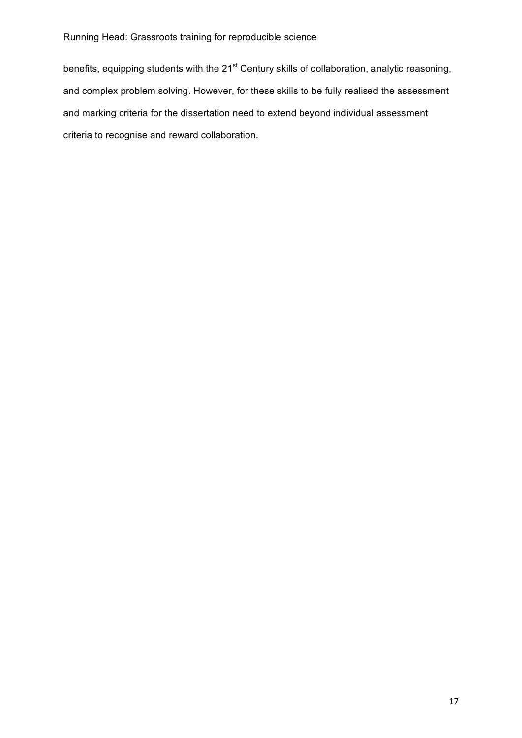benefits, equipping students with the 21<sup>st</sup> Century skills of collaboration, analytic reasoning, and complex problem solving. However, for these skills to be fully realised the assessment and marking criteria for the dissertation need to extend beyond individual assessment criteria to recognise and reward collaboration.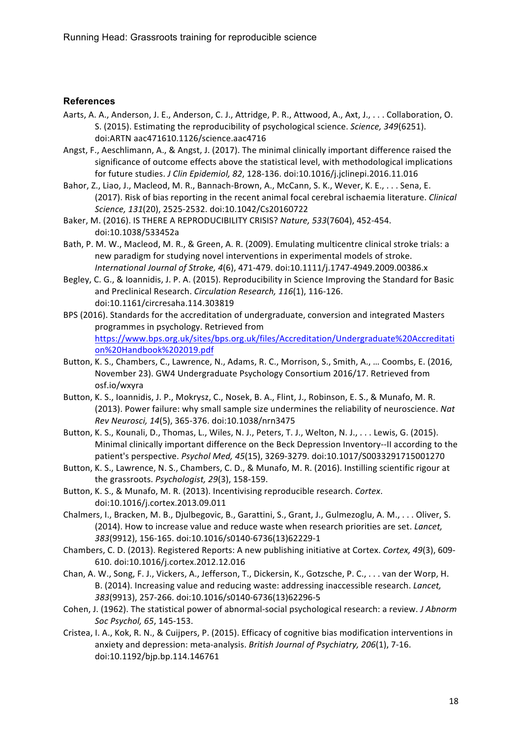## **References**

- Aarts, A. A., Anderson, J. E., Anderson, C. J., Attridge, P. R., Attwood, A., Axt, J., . . . Collaboration, O. S. (2015). Estimating the reproducibility of psychological science. Science, 349(6251). doi:ARTN aac471610.1126/science.aac4716
- Angst, F., Aeschlimann, A., & Angst, J. (2017). The minimal clinically important difference raised the significance of outcome effects above the statistical level, with methodological implications for future studies. *J Clin Epidemiol, 82*, 128-136. doi:10.1016/j.jclinepi.2016.11.016
- Bahor, Z., Liao, J., Macleod, M. R., Bannach-Brown, A., McCann, S. K., Wever, K. E., . . . Sena, E. (2017). Risk of bias reporting in the recent animal focal cerebral ischaemia literature. *Clinical Science, 131*(20), 2525-2532. doi:10.1042/Cs20160722
- Baker, M. (2016). IS THERE A REPRODUCIBILITY CRISIS? Nature, 533(7604), 452-454. doi:10.1038/533452a
- Bath, P. M. W., Macleod, M. R., & Green, A. R. (2009). Emulating multicentre clinical stroke trials: a new paradigm for studying novel interventions in experimental models of stroke. *International Journal of Stroke, 4*(6), 471-479. doi:10.1111/j.1747-4949.2009.00386.x
- Begley, C. G., & Ioannidis, J. P. A. (2015). Reproducibility in Science Improving the Standard for Basic and Preclinical Research. *Circulation Research,* 116(1), 116-126. doi:10.1161/circresaha.114.303819
- BPS (2016). Standards for the accreditation of undergraduate, conversion and integrated Masters programmes in psychology. Retrieved from https://www.bps.org.uk/sites/bps.org.uk/files/Accreditation/Undergraduate%20Accreditati on%20Handbook%202019.pdf
- Button, K. S., Chambers, C., Lawrence, N., Adams, R. C., Morrison, S., Smith, A., ... Coombs, E. (2016, November 23). GW4 Undergraduate Psychology Consortium 2016/17. Retrieved from osf.io/wxyra
- Button, K. S., Ioannidis, J. P., Mokrysz, C., Nosek, B. A., Flint, J., Robinson, E. S., & Munafo, M. R. (2013). Power failure: why small sample size undermines the reliability of neuroscience. Nat *Rev Neurosci, 14*(5), 365-376. doi:10.1038/nrn3475
- Button, K. S., Kounali, D., Thomas, L., Wiles, N. J., Peters, T. J., Welton, N. J., . . . Lewis, G. (2015). Minimal clinically important difference on the Beck Depression Inventory--II according to the patient's perspective. *Psychol Med, 45*(15), 3269-3279. doi:10.1017/S0033291715001270
- Button, K. S., Lawrence, N. S., Chambers, C. D., & Munafo, M. R. (2016). Instilling scientific rigour at the grassroots. *Psychologist*, 29(3), 158-159.
- Button, K. S., & Munafo, M. R. (2013). Incentivising reproducible research. Cortex. doi:10.1016/j.cortex.2013.09.011
- Chalmers, I., Bracken, M. B., Djulbegovic, B., Garattini, S., Grant, J., Gulmezoglu, A. M., ... Oliver, S. (2014). How to increase value and reduce waste when research priorities are set. *Lancet*, *383*(9912), 156-165. doi:10.1016/s0140-6736(13)62229-1
- Chambers, C. D. (2013). Registered Reports: A new publishing initiative at Cortex. Cortex, 49(3), 609-610. doi:10.1016/j.cortex.2012.12.016
- Chan, A. W., Song, F. J., Vickers, A., Jefferson, T., Dickersin, K., Gotzsche, P. C., . . . van der Worp, H. B. (2014). Increasing value and reducing waste: addressing inaccessible research. *Lancet*, *383*(9913), 257-266. doi:10.1016/s0140-6736(13)62296-5
- Cohen, J. (1962). The statistical power of abnormal-social psychological research: a review. *J Abnorm Soc Psychol, 65*, 145-153.
- Cristea, I. A., Kok, R. N., & Cuijpers, P. (2015). Efficacy of cognitive bias modification interventions in anxiety and depression: meta-analysis. *British Journal of Psychiatry, 206*(1), 7-16. doi:10.1192/bjp.bp.114.146761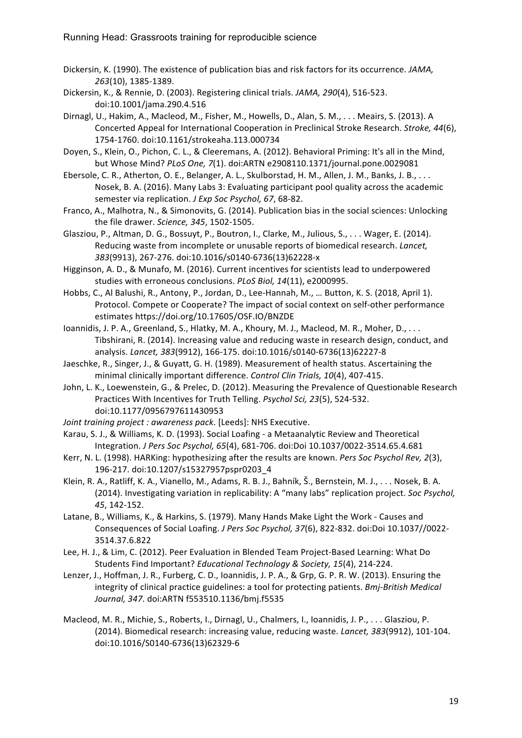- Dickersin, K. (1990). The existence of publication bias and risk factors for its occurrence. *JAMA*, *263*(10), 1385-1389.
- Dickersin, K., & Rennie, D. (2003). Registering clinical trials. *JAMA*, 290(4), 516-523. doi:10.1001/jama.290.4.516
- Dirnagl, U., Hakim, A., Macleod, M., Fisher, M., Howells, D., Alan, S. M., . . . Meairs, S. (2013). A Concerted Appeal for International Cooperation in Preclinical Stroke Research. *Stroke*, 44(6), 1754-1760. doi:10.1161/strokeaha.113.000734
- Doyen, S., Klein, O., Pichon, C. L., & Cleeremans, A. (2012). Behavioral Priming: It's all in the Mind, but Whose Mind? *PLoS One, 7*(1). doi:ARTN e2908110.1371/journal.pone.0029081
- Ebersole, C. R., Atherton, O. E., Belanger, A. L., Skulborstad, H. M., Allen, J. M., Banks, J. B., . . . Nosek, B. A. (2016). Many Labs 3: Evaluating participant pool quality across the academic semester via replication. *J Exp Soc Psychol, 67*, 68-82.
- Franco, A., Malhotra, N., & Simonovits, G. (2014). Publication bias in the social sciences: Unlocking the file drawer. *Science*, 345, 1502-1505.
- Glasziou, P., Altman, D. G., Bossuyt, P., Boutron, I., Clarke, M., Julious, S., . . . Wager, E. (2014). Reducing waste from incomplete or unusable reports of biomedical research. *Lancet*, *383*(9913), 267-276. doi:10.1016/s0140-6736(13)62228-x
- Higginson, A. D., & Munafo, M. (2016). Current incentives for scientists lead to underpowered studies with erroneous conclusions. *PLoS Biol, 14*(11), e2000995.
- Hobbs, C., Al Balushi, R., Antony, P., Jordan, D., Lee-Hannah, M., ... Button, K. S. (2018, April 1). Protocol. Compete or Cooperate? The impact of social context on self-other performance estimates https://doi.org/10.17605/OSF.IO/BNZDE
- Ioannidis, J. P. A., Greenland, S., Hlatky, M. A., Khoury, M. J., Macleod, M. R., Moher, D., ... Tibshirani, R. (2014). Increasing value and reducing waste in research design, conduct, and analysis. *Lancet, 383*(9912), 166-175. doi:10.1016/s0140-6736(13)62227-8
- Jaeschke, R., Singer, J., & Guyatt, G. H. (1989). Measurement of health status. Ascertaining the minimal clinically important difference. *Control Clin Trials, 10*(4), 407-415.
- John, L. K., Loewenstein, G., & Prelec, D. (2012). Measuring the Prevalence of Questionable Research Practices With Incentives for Truth Telling. Psychol Sci, 23(5), 524-532. doi:10.1177/0956797611430953
- *Joint training project : awareness pack*. [Leeds]: NHS Executive.
- Karau, S. J., & Williams, K. D. (1993). Social Loafing a Metaanalytic Review and Theoretical Integration. *J Pers Soc Psychol, 65*(4), 681-706. doi:Doi 10.1037/0022-3514.65.4.681
- Kerr, N. L. (1998). HARKing: hypothesizing after the results are known. *Pers Soc Psychol Rev, 2*(3), 196-217. doi:10.1207/s15327957pspr0203\_4
- Klein, R. A., Ratliff, K. A., Vianello, M., Adams, R. B. J., Bahník, Š., Bernstein, M. J., . . . Nosek, B. A. (2014). Investigating variation in replicability: A "many labs" replication project. Soc Psychol, *45*, 142-152.
- Latane, B., Williams, K., & Harkins, S. (1979). Many Hands Make Light the Work Causes and Consequences of Social Loafing. *J Pers Soc Psychol, 37*(6), 822-832. doi:Doi 10.1037//0022- 3514.37.6.822
- Lee, H. J., & Lim, C. (2012). Peer Evaluation in Blended Team Project-Based Learning: What Do Students Find Important? *Educational Technology & Society, 15*(4), 214-224.
- Lenzer, J., Hoffman, J. R., Furberg, C. D., Ioannidis, J. P. A., & Grp, G. P. R. W. (2013). Ensuring the integrity of clinical practice guidelines: a tool for protecting patients. *Bmj-British Medical Journal, 347*. doi:ARTN f553510.1136/bmj.f5535
- Macleod, M. R., Michie, S., Roberts, I., Dirnagl, U., Chalmers, I., Ioannidis, J. P., . . . Glasziou, P. (2014). Biomedical research: increasing value, reducing waste. *Lancet, 383*(9912), 101-104. doi:10.1016/S0140-6736(13)62329-6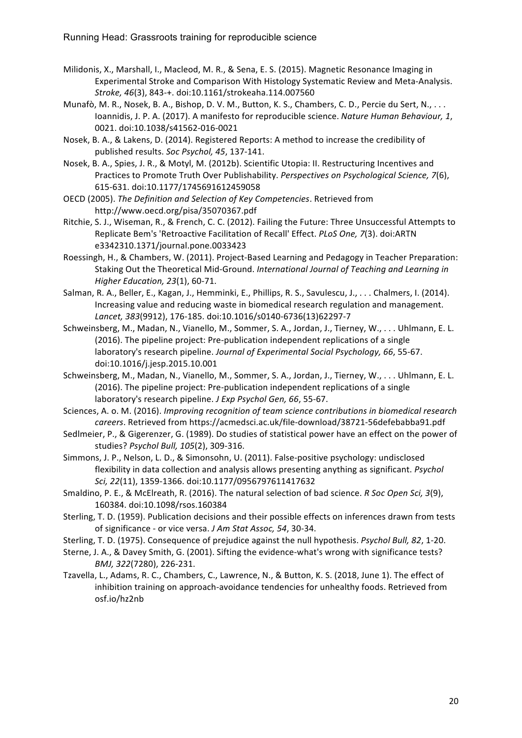- Milidonis, X., Marshall, I., Macleod, M. R., & Sena, E. S. (2015). Magnetic Resonance Imaging in Experimental Stroke and Comparison With Histology Systematic Review and Meta-Analysis. *Stroke, 46*(3), 843-+. doi:10.1161/strokeaha.114.007560
- Munafò, M. R., Nosek, B. A., Bishop, D. V. M., Button, K. S., Chambers, C. D., Percie du Sert, N., ... Ioannidis, J. P. A. (2017). A manifesto for reproducible science. *Nature Human Behaviour, 1*, 0021. doi:10.1038/s41562-016-0021
- Nosek, B. A., & Lakens, D. (2014). Registered Reports: A method to increase the credibility of published results. Soc Psychol, 45, 137-141.
- Nosek, B. A., Spies, J. R., & Motyl, M. (2012b). Scientific Utopia: II. Restructuring Incentives and Practices to Promote Truth Over Publishability. Perspectives on Psychological Science, 7(6), 615-631. doi:10.1177/1745691612459058
- OECD (2005). The Definition and Selection of Key Competencies. Retrieved from http://www.oecd.org/pisa/35070367.pdf
- Ritchie, S. J., Wiseman, R., & French, C. C. (2012). Failing the Future: Three Unsuccessful Attempts to Replicate Bem's 'Retroactive Facilitation of Recall' Effect. *PLoS One, 7*(3). doi:ARTN e3342310.1371/journal.pone.0033423
- Roessingh, H., & Chambers, W. (2011). Project-Based Learning and Pedagogy in Teacher Preparation: Staking Out the Theoretical Mid-Ground. *International Journal of Teaching and Learning in Higher Education, 23*(1), 60-71.
- Salman, R. A., Beller, E., Kagan, J., Hemminki, E., Phillips, R. S., Savulescu, J., ... Chalmers, I. (2014). Increasing value and reducing waste in biomedical research regulation and management. *Lancet, 383*(9912), 176-185. doi:10.1016/s0140-6736(13)62297-7
- Schweinsberg, M., Madan, N., Vianello, M., Sommer, S. A., Jordan, J., Tierney, W., . . . Uhlmann, E. L. (2016). The pipeline project: Pre-publication independent replications of a single laboratory's research pipeline. Journal of Experimental Social Psychology, 66, 55-67. doi:10.1016/j.jesp.2015.10.001
- Schweinsberg, M., Madan, N., Vianello, M., Sommer, S. A., Jordan, J., Tierney, W., . . . Uhlmann, E. L. (2016). The pipeline project: Pre-publication independent replications of a single laboratory's research pipeline. *J Exp Psychol Gen, 66*, 55-67.
- Sciences, A. o. M. (2016). *Improving recognition of team science contributions in biomedical research careers*. Retrieved from https://acmedsci.ac.uk/file-download/38721-56defebabba91.pdf
- Sedlmeier, P., & Gigerenzer, G. (1989). Do studies of statistical power have an effect on the power of studies? Psychol Bull, 105(2), 309-316.
- Simmons, J. P., Nelson, L. D., & Simonsohn, U. (2011). False-positive psychology: undisclosed flexibility in data collection and analysis allows presenting anything as significant. *Psychol Sci, 22*(11), 1359-1366. doi:10.1177/0956797611417632
- Smaldino, P. E., & McElreath, R. (2016). The natural selection of bad science. *R Soc Open Sci, 3*(9), 160384. doi:10.1098/rsos.160384
- Sterling, T. D. (1959). Publication decisions and their possible effects on inferences drawn from tests of significance - or vice versa. *J Am Stat Assoc, 54*, 30-34.
- Sterling, T. D. (1975). Consequence of prejudice against the null hypothesis. *Psychol Bull, 82*, 1-20.
- Sterne, J. A., & Davey Smith, G. (2001). Sifting the evidence-what's wrong with significance tests? *BMJ, 322*(7280), 226-231.
- Tzavella, L., Adams, R. C., Chambers, C., Lawrence, N., & Button, K. S. (2018, June 1). The effect of inhibition training on approach-avoidance tendencies for unhealthy foods. Retrieved from osf.io/hz2nb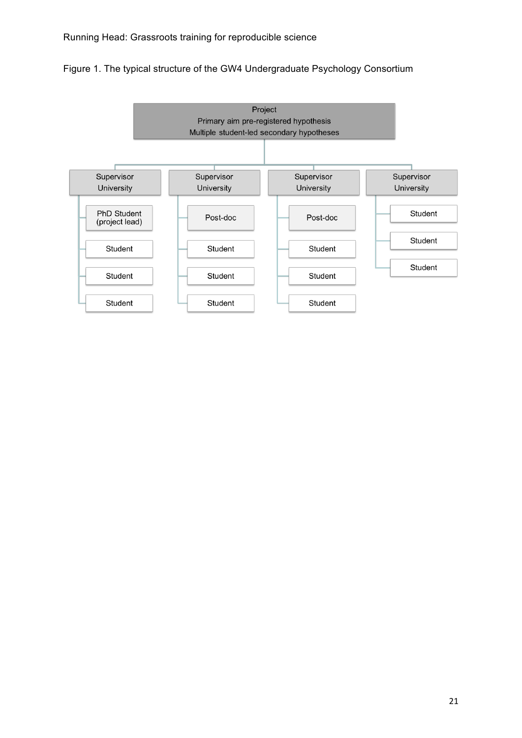Figure 1. The typical structure of the GW4 Undergraduate Psychology Consortium